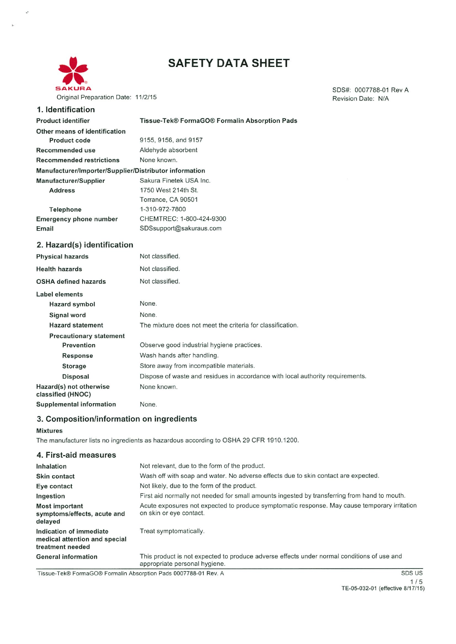

# **SAFETY DATA SHEET**

Original Preparation Date: 11/2/15 Revision Date: N/A 1. Identification **Product identifier** Tissue-Tek® FormaGO® Formalin Absorption Pads Other means of identification 9155, 9156, and 9157 Product code Aldehyde absorbent Recommended use None known. **Recommended restrictions** Manufacturer/Importer/Supplier/Distributor information Manufacturer/Supplier Sakura Finetek USA Inc. **Address** 1750 West 214th St. Torrance, CA 90501 **Telephone** 1-310-972-7800 CHEMTREC: 1-800-424-9300 **Emergency phone number** Email SDSsupport@sakuraus.com 2. Hazard(s) identification Not classified. **Physical hazards Health hazards** Not classified. Not classified. **OSHA defined hazards Label elements** None. **Hazard symbol** None. Signal word **Hazard statement** The mixture does not meet the criteria for classification. **Precautionary statement** Observe good industrial hygiene practices. Prevention Response Wash hands after handling. **Storage** Store away from incompatible materials. **Disposal** Dispose of waste and residues in accordance with local authority requirements. Hazard(s) not otherwise None known. classified (HNOC)

**Supplemental information** 

#### 3. Composition/information on ingredients

#### **Mixtures**

The manufacturer lists no ingredients as hazardous according to OSHA 29 CFR 1910.1200.

None.

|  |  |  |  |  | 4. First-aid measures |
|--|--|--|--|--|-----------------------|
|--|--|--|--|--|-----------------------|

| Inhalation                                                                   | Not relevant, due to the form of the product.                                                                               |
|------------------------------------------------------------------------------|-----------------------------------------------------------------------------------------------------------------------------|
| <b>Skin contact</b>                                                          | Wash off with soap and water. No adverse effects due to skin contact are expected.                                          |
| Eye contact                                                                  | Not likely, due to the form of the product.                                                                                 |
| Ingestion                                                                    | First aid normally not needed for small amounts ingested by transferring from hand to mouth.                                |
| <b>Most important</b><br>symptoms/effects, acute and<br>delayed              | Acute exposures not expected to produce symptomatic response. May cause temporary irritation<br>on skin or eye contact.     |
| Indication of immediate<br>medical attention and special<br>treatment needed | Treat symptomatically.                                                                                                      |
| <b>General information</b>                                                   | This product is not expected to produce adverse effects under normal conditions of use and<br>appropriate personal hygiene. |

Tissue-Tek® FormaGO® Formalin Absorption Pads 0007788-01 Rev. A

SDS#: 0007788-01 Rev A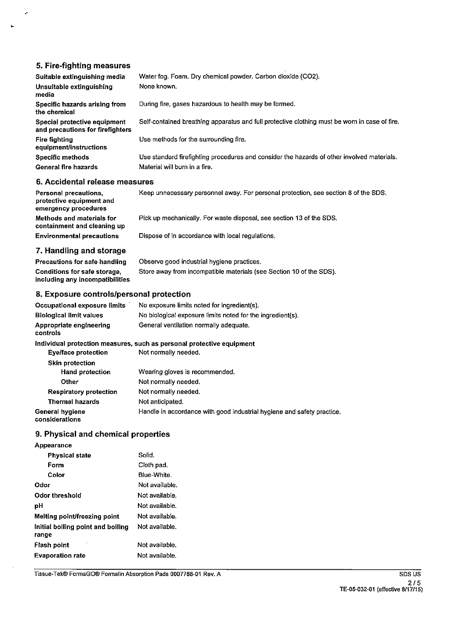## 5. Fire-fighting measures

J.

| Suitable extinguishing media                                     | Water fog. Foam. Dry chemical powder. Carbon dioxide (CO2).                                   |
|------------------------------------------------------------------|-----------------------------------------------------------------------------------------------|
| Unsuitable extinguishing<br>media                                | None known.                                                                                   |
| Specific hazards arising from<br>the chemical                    | During fire, gases hazardous to health may be formed.                                         |
| Special protective equipment<br>and precautions for firefighters | Self-contained breathing apparatus and full protective clothing must be worn in case of fire. |
| Fire fighting<br>equipment/instructions                          | Use methods for the surrounding fire.                                                         |
| Specific methods                                                 | Use standard firefighting procedures and consider the hazards of other involved materials.    |
| General fire hazards                                             | Material will burn in a fire.                                                                 |
| 6. Accidental release measures                                   |                                                                                               |
| Personal precautions,                                            | Keep unnecessary personnel away. For personal protection, see section 8 of the SDS.           |

protective equipment and emergency procedures Methods and materials for Pick up mechanically. For waste disposal, see section 13 of the SDS. containment and cleaning up Dispose of in accordance with local regulations. **Environmental precautions** 

### 7. Handling and storage

**Precautions for safe handling** Observe good industrial hygiene practices. Store away from incompatible materials (see Section 10 of the SDS). Conditions for safe storage, including any incompatibilities

### 8. Exposure controls/personal protection

| Occupational exposure limits        | No exposure limits noted for ingredient(s).                            |  |
|-------------------------------------|------------------------------------------------------------------------|--|
| <b>Biological limit values</b>      | No biological exposure limits noted for the ingredient(s).             |  |
| Appropriate engineering<br>controls | General ventilation normally adequate.                                 |  |
|                                     | Individual protection measures, such as personal protective equipment  |  |
| Eye/face protection                 | Not normally needed.                                                   |  |
| <b>Skin protection</b>              |                                                                        |  |
| <b>Hand protection</b>              | Wearing gloves is recommended.                                         |  |
| Other                               | Not normally needed.                                                   |  |
| <b>Respiratory protection</b>       | Not normally needed.                                                   |  |
| <b>Thermal hazards</b>              | Not anticipated.                                                       |  |
| General hygiene<br>considerations   | Handle in accordance with good industrial hygiene and safety practice. |  |

### 9. Physical and chemical properties

| Solid.         |
|----------------|
| Cloth pad.     |
| Blue-White.    |
| Not available. |
| Not available. |
| Not available. |
| Not available. |
| Not available. |
| Not available. |
| Not available. |
|                |

Tissue-Tek® FormaGO® Formalin Absorption Pads 0007788-01 Rev. A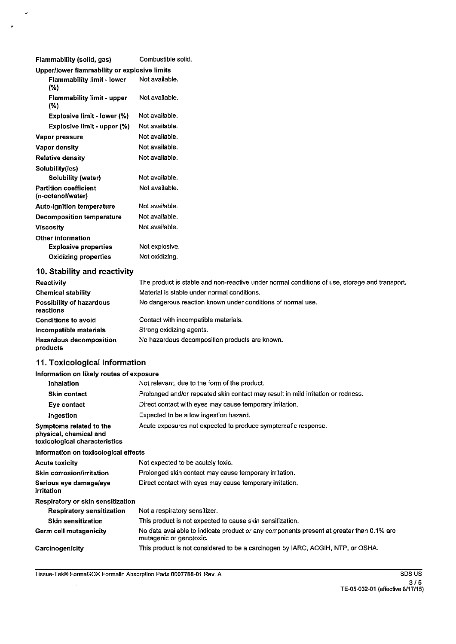| Flammability (solid, gas)                         | Combustible solid. |
|---------------------------------------------------|--------------------|
| Upper/lower flammability or explosive limits      |                    |
| Flammability limit - lower<br>(%)                 | Not available.     |
| <b>Flammability limit - upper</b><br>(%)          | Not available.     |
| Explosive limit - lower (%)                       | Not available.     |
| Explosive limit - upper (%)                       | Not available.     |
| Vapor pressure                                    | Not available.     |
| Vapor density                                     | Not available.     |
| <b>Relative density</b>                           | Not available.     |
| Solubility(ies)                                   |                    |
| Solubility (water)                                | Not available.     |
| <b>Partition coefficient</b><br>(n-octanol/water) | Not available.     |
| <b>Auto-ignition temperature</b>                  | Not available.     |
| <b>Decomposition temperature</b>                  | Not available.     |
| <b>Viscosity</b>                                  | Not available.     |
| <b>Other information</b>                          |                    |
| <b>Explosive properties</b>                       | Not explosive.     |
| <b>Oxidizing properties</b>                       | Not oxidizing.     |
|                                                   |                    |

## 10. Stability and reactivity

 $\ddot{\phantom{a}}$ 

.

| <b>Reactivity</b>                          | The product is stable and non-reactive under normal conditions of use, storage and transport. |
|--------------------------------------------|-----------------------------------------------------------------------------------------------|
| <b>Chemical stability</b>                  | Material is stable under normal conditions.                                                   |
| Possibility of hazardous<br>reactions      | No dangerous reaction known under conditions of normal use.                                   |
| <b>Conditions to avoid</b>                 | Contact with incompatible materials.                                                          |
| Incompatible materials                     | Strong oxidizing agents.                                                                      |
| <b>Hazardous decomposition</b><br>products | No hazardous decomposition products are known.                                                |

## 11. Toxicological information

### Information on likely routes of exposure

| Inhalation                                                                         | Not relevant, due to the form of the product.                                                                       |
|------------------------------------------------------------------------------------|---------------------------------------------------------------------------------------------------------------------|
| <b>Skin contact</b>                                                                | Prolonged and/or repeated skin contact may result in mild irritation or redness.                                    |
| Eye contact                                                                        | Direct contact with eyes may cause temporary irritation.                                                            |
| Ingestion                                                                          | Expected to be a low ingestion hazard.                                                                              |
| Symptoms related to the<br>physical, chemical and<br>toxicological characteristics | Acute exposures not expected to produce symptomatic response.                                                       |
| Information on toxicological effects                                               |                                                                                                                     |
| <b>Acute toxicity</b>                                                              | Not expected to be acutely toxic.                                                                                   |
| Skin corrosion/irritation                                                          | Prolonged skin contact may cause temporary irritation.                                                              |
| Serious eye damage/eye<br>irritation                                               | Direct contact with eyes may cause temporary irritation.                                                            |
| Respiratory or skin sensitization                                                  |                                                                                                                     |
| <b>Respiratory sensitization</b>                                                   | Not a respiratory sensitizer.                                                                                       |
| <b>Skin sensitization</b>                                                          | This product is not expected to cause skin sensitization.                                                           |
| Germ cell mutagenicity                                                             | No data available to indicate product or any components present at greater than 0.1% are<br>mutagenic or genotoxic. |
| Carcinogenicity                                                                    | This product is not considered to be a carcinogen by IARC, ACGIH, NTP, or OSHA.                                     |

Tissue-Tek® FormaGO® Formalin Absorption Pads 0007788-01 Rev. A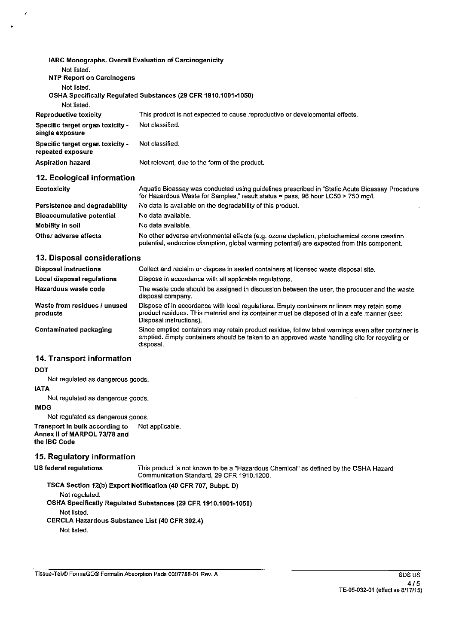| IARC Monographs. Overall Evaluation of Carcinogenicity |                                                                                                                                                                                            |  |  |  |
|--------------------------------------------------------|--------------------------------------------------------------------------------------------------------------------------------------------------------------------------------------------|--|--|--|
|                                                        | Not listed.                                                                                                                                                                                |  |  |  |
| <b>NTP Report on Carcinogens</b>                       |                                                                                                                                                                                            |  |  |  |
| Not listed.                                            |                                                                                                                                                                                            |  |  |  |
|                                                        | OSHA Specifically Regulated Substances (29 CFR 1910.1001-1050)                                                                                                                             |  |  |  |
| Not listed.                                            |                                                                                                                                                                                            |  |  |  |
| Reproductive toxicity                                  | This product is not expected to cause reproductive or developmental effects.                                                                                                               |  |  |  |
| Specific target organ toxicity -<br>single exposure    | Not classified.                                                                                                                                                                            |  |  |  |
| Specific target organ toxicity -<br>repeated exposure  | Not classified.                                                                                                                                                                            |  |  |  |
| <b>Aspiration hazard</b>                               | Not relevant, due to the form of the product.                                                                                                                                              |  |  |  |
| 12. Ecological information                             |                                                                                                                                                                                            |  |  |  |
| Ecotoxicity                                            | Aquatic Bioassay was conducted using quidelines prescribed in "Static Acute Bioassay Procedure<br>for Hazardous Waste for Samples," result status = pass, 96 hour LC50 > 750 mg/l.         |  |  |  |
| Persistence and degradability                          | No data is available on the degradability of this product.                                                                                                                                 |  |  |  |
| <b>Bioaccumulative potential</b>                       | No data available.                                                                                                                                                                         |  |  |  |
| Mobility in soil                                       | No data available.                                                                                                                                                                         |  |  |  |
| Other adverse effects                                  | No other adverse environmental effects (e.g. ozone depletion, photochemical ozone creation<br>potential, endocrine disruption, global warming potential) are expected from this component. |  |  |  |

### 13. Disposal considerations

| <b>Disposal instructions</b>             | Collect and reclaim or dispose in sealed containers at licensed waste disposal site.                                                                                                                                   |
|------------------------------------------|------------------------------------------------------------------------------------------------------------------------------------------------------------------------------------------------------------------------|
| Local disposal regulations               | Dispose in accordance with all applicable regulations.                                                                                                                                                                 |
| Hazardous waste code                     | The waste code should be assigned in discussion between the user, the producer and the waste<br>disposal company.                                                                                                      |
| Waste from residues / unused<br>products | Dispose of in accordance with local regulations. Empty containers or liners may retain some<br>product residues. This material and its container must be disposed of in a safe manner (see:<br>Disposal instructions). |
| Contaminated packaging                   | Since emptied containers may retain product residue, follow label warnings even after container is<br>emptied. Empty containers should be taken to an approved waste handling site for recycling or<br>disposal.       |

### 14. Transport information

DOT

Not regulated as dangerous goods.

**IATA** 

Not regulated as dangerous goods.

**IMDG** 

Not regulated as dangerous goods.

Not applicable. Transport in bulk according to Annex II of MARPOL 73/78 and the IBC Code

### 15. Regulatory information

US federal regulations

This product is not known to be a "Hazardous Chemical" as defined by the OSHA Hazard Communication Standard, 29 CFR 1910.1200.

TSCA Section 12(b) Export Notification (40 CFR 707, Subpt. D) Not regulated. OSHA Specifically Regulated Substances (29 CFR 1910.1001-1050)

Not listed.

**CERCLA Hazardous Substance List (40 CFR 302.4)** 

Not listed.

Tissue-Tek® FormaGO® Formalin Absorption Pads 0007788-01 Rev. A